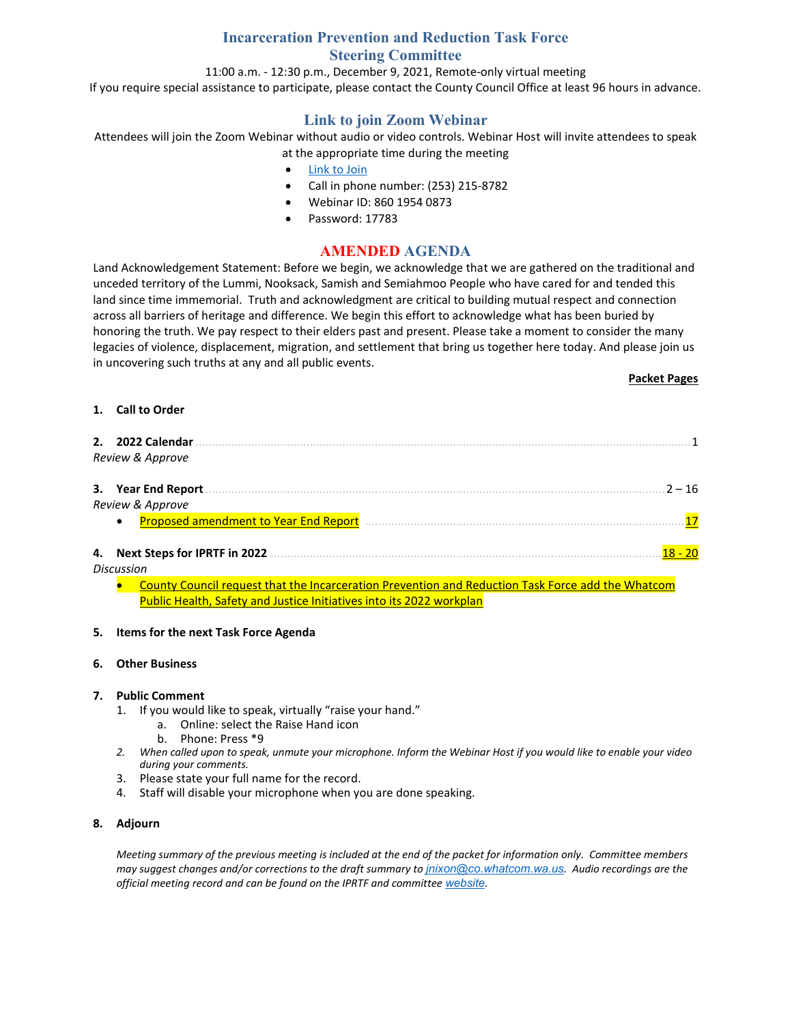# **Incarceration Prevention and Reduction Task Force Steering Committee**

11:00 a.m. - 12:30 p.m., December 9, 2021, Remote-only virtual meeting If you require special assistance to participate, please contact the County Council Office at least 96 hours in advance.

# **Link to join Zoom Webinar**

Attendees will join the Zoom Webinar without audio or video controls. Webinar Host will invite attendees to speak at the appropriate time during the meeting

- [Link to Join](https://us06web.zoom.us/j/86019540873?pwd=SHVjMXNwNGlhTGJRN0M4UWF6bWh1dz09)
- Call in phone number: (253) 215-8782
- Webinar ID: 860 1954 0873
- Password: 17783

## **AMENDED AGENDA**

Land Acknowledgement Statement: Before we begin, we acknowledge that we are gathered on the traditional and unceded territory of the Lummi, Nooksack, Samish and Semiahmoo People who have cared for and tended this land since time immemorial. Truth and acknowledgment are critical to building mutual respect and connection across all barriers of heritage and difference. We begin this effort to acknowledge what has been buried by honoring the truth. We pay respect to their elders past and present. Please take a moment to consider the many legacies of violence, displacement, migration, and settlement that bring us together here today. And please join us in uncovering such truths at any and all public events.

#### **Packet Pages**

#### **1. Call to Order**

| 2. 2022 Calendar<br>Review & Approve               |                  |
|----------------------------------------------------|------------------|
| 3. Year End Report                                 | $2 - 16$         |
| Review & Approve                                   |                  |
| Proposed amendment to Year End Report<br>$\bullet$ | 17               |
| 4. Next Steps for IPRTF in 2022<br>Diccuccion      | <u> 18 - 20 </u> |

*Discussion*

• County Council request that the Incarceration Prevention and Reduction Task Force add the Whatcom Public Health, Safety and Justice Initiatives into its 2022 workplan

#### **5. Items for the next Task Force Agenda**

#### **6. Other Business**

#### **7. Public Comment**

- 1. If you would like to speak, virtually "raise your hand."
	- a. Online: select the Raise Hand icon
		- b. Phone: Press \*9
- *2. When called upon to speak, unmute your microphone. Inform the Webinar Host if you would like to enable your video during your comments.*
- 3. Please state your full name for the record.
- 4. Staff will disable your microphone when you are done speaking.

#### **8. Adjourn**

*Meeting summary of the previous meeting is included at the end of the packet for information only. Committee members may suggest changes and/or corrections to the draft summary to [jnixon@co.whatcom.wa.us](mailto:jnixon@co.whatcom.wa.us). Audio recordings are the official meeting record and can be found on the IPRTF and committee [website](http://www.co.whatcom.wa.us/2052/Incarceration-Prevention-and-Reduction-T).*